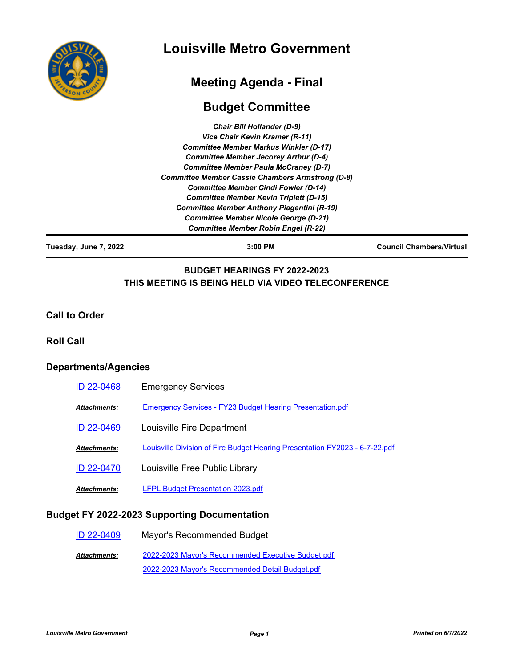

# **Louisville Metro Government**

## **Meeting Agenda - Final**

## **Budget Committee**

| <b>Chair Bill Hollander (D-9)</b>                       |  |
|---------------------------------------------------------|--|
| Vice Chair Kevin Kramer (R-11)                          |  |
| <b>Committee Member Markus Winkler (D-17)</b>           |  |
| <b>Committee Member Jecorey Arthur (D-4)</b>            |  |
| <b>Committee Member Paula McCraney (D-7)</b>            |  |
| <b>Committee Member Cassie Chambers Armstrong (D-8)</b> |  |
| <b>Committee Member Cindi Fowler (D-14)</b>             |  |
| <b>Committee Member Kevin Triplett (D-15)</b>           |  |
| <b>Committee Member Anthony Piagentini (R-19)</b>       |  |
| <b>Committee Member Nicole George (D-21)</b>            |  |
| <b>Committee Member Robin Engel (R-22)</b>              |  |

**Tuesday, June 7, 2022 3:00 PM Council Chambers/Virtual**

### **BUDGET HEARINGS FY 2022-2023 THIS MEETING IS BEING HELD VIA VIDEO TELECONFERENCE**

**Call to Order**

#### **Roll Call**

### **Departments/Agencies**

| ID 22-0468   | <b>Emergency Services</b>                                                   |
|--------------|-----------------------------------------------------------------------------|
| Attachments: | Emergency Services - FY23 Budget Hearing Presentation.pdf                   |
| ID 22-0469   | Louisville Fire Department                                                  |
| Attachments: | Louisville Division of Fire Budget Hearing Presentation FY2023 - 6-7-22.pdf |
| ID 22-0470   | Louisville Free Public Library                                              |
| Attachments: | <b>LFPL Budget Presentation 2023.pdf</b>                                    |

### **Budget FY 2022-2023 Supporting Documentation**

[ID 22-0409](http://louisville.legistar.com/gateway.aspx?m=l&id=/matter.aspx?key=59881) Mayor's Recommended Budget [2022-2023 Mayor's Recommended Executive Budget.pdf](http://louisville.legistar.com/gateway.aspx?M=F&ID=a7d55fe2-91bf-4cc4-9d95-ccc4859e9cec.pdf) [2022-2023 Mayor's Recommended Detail Budget.pdf](http://louisville.legistar.com/gateway.aspx?M=F&ID=6d6cd3c4-71c5-48c5-ac97-6b42e82b2cdc.pdf) *Attachments:*